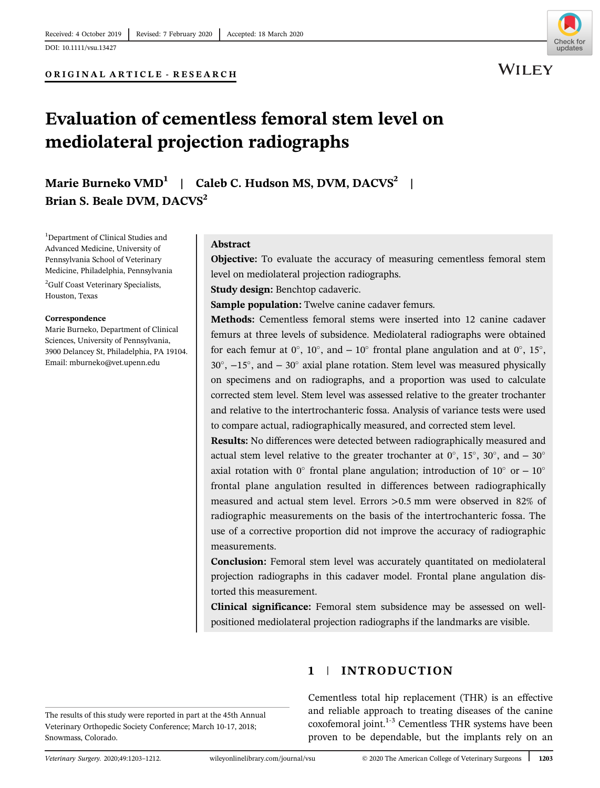ORIGINAL ARTICLE - RESEARCH



**WILEY** 

# Evaluation of cementless femoral stem level on mediolateral projection radiographs

Marie Burneko VMD<sup>1</sup> | Caleb C. Hudson MS, DVM, DACVS<sup>2</sup> | Brian S. Beale DVM, DACVS<sup>2</sup>

<sup>1</sup>Department of Clinical Studies and Advanced Medicine, University of Pennsylvania School of Veterinary Medicine, Philadelphia, Pennsylvania <sup>2</sup>Gulf Coast Veterinary Specialists, Houston, Texas

#### Correspondence

Marie Burneko, Department of Clinical Sciences, University of Pennsylvania, 3900 Delancey St, Philadelphia, PA 19104. Email: [mburneko@vet.upenn.edu](mailto:mburneko@vet.upenn.edu)

#### Abstract

Objective: To evaluate the accuracy of measuring cementless femoral stem level on mediolateral projection radiographs.

Study design: Benchtop cadaveric.

Sample population: Twelve canine cadaver femurs.

Methods: Cementless femoral stems were inserted into 12 canine cadaver femurs at three levels of subsidence. Mediolateral radiographs were obtained for each femur at  $0^\circ$ ,  $10^\circ$ , and  $-10^\circ$  frontal plane angulation and at  $0^\circ$ ,  $15^\circ$ ,  $30^\circ$ ,  $-15^\circ$ , and  $-30^\circ$  axial plane rotation. Stem level was measured physically on specimens and on radiographs, and a proportion was used to calculate corrected stem level. Stem level was assessed relative to the greater trochanter and relative to the intertrochanteric fossa. Analysis of variance tests were used to compare actual, radiographically measured, and corrected stem level.

Results: No differences were detected between radiographically measured and actual stem level relative to the greater trochanter at  $0^{\circ}$ ,  $15^{\circ}$ ,  $30^{\circ}$ , and  $-30^{\circ}$ axial rotation with 0° frontal plane angulation; introduction of 10° or  $-10$ ° frontal plane angulation resulted in differences between radiographically measured and actual stem level. Errors >0.5 mm were observed in 82% of radiographic measurements on the basis of the intertrochanteric fossa. The use of a corrective proportion did not improve the accuracy of radiographic measurements.

Conclusion: Femoral stem level was accurately quantitated on mediolateral projection radiographs in this cadaver model. Frontal plane angulation distorted this measurement.

Clinical significance: Femoral stem subsidence may be assessed on wellpositioned mediolateral projection radiographs if the landmarks are visible.

The results of this study were reported in part at the 45th Annual Veterinary Orthopedic Society Conference; March 10-17, 2018; Snowmass, Colorado.

## 1 | INTRODUCTION

Cementless total hip replacement (THR) is an effective and reliable approach to treating diseases of the canine coxofemoral joint.<sup>1-3</sup> Cementless THR systems have been proven to be dependable, but the implants rely on an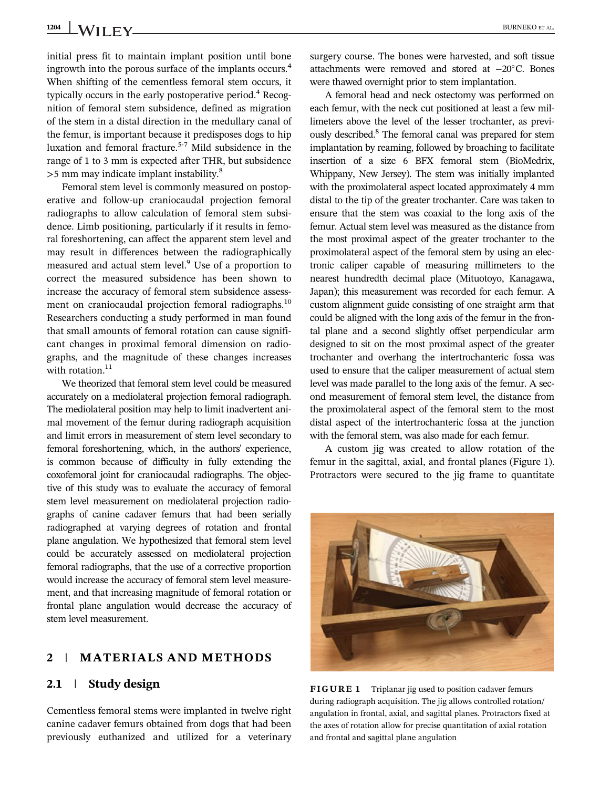initial press fit to maintain implant position until bone ingrowth into the porous surface of the implants occurs.<sup>4</sup> When shifting of the cementless femoral stem occurs, it typically occurs in the early postoperative period.<sup>4</sup> Recognition of femoral stem subsidence, defined as migration of the stem in a distal direction in the medullary canal of the femur, is important because it predisposes dogs to hip luxation and femoral fracture.5-7 Mild subsidence in the range of 1 to 3 mm is expected after THR, but subsidence  $>$ 5 mm may indicate implant instability. $8$ 

Femoral stem level is commonly measured on postoperative and follow-up craniocaudal projection femoral radiographs to allow calculation of femoral stem subsidence. Limb positioning, particularly if it results in femoral foreshortening, can affect the apparent stem level and may result in differences between the radiographically measured and actual stem level.9 Use of a proportion to correct the measured subsidence has been shown to increase the accuracy of femoral stem subsidence assessment on craniocaudal projection femoral radiographs.<sup>10</sup> Researchers conducting a study performed in man found that small amounts of femoral rotation can cause significant changes in proximal femoral dimension on radiographs, and the magnitude of these changes increases with rotation. $^{11}$ 

We theorized that femoral stem level could be measured accurately on a mediolateral projection femoral radiograph. The mediolateral position may help to limit inadvertent animal movement of the femur during radiograph acquisition and limit errors in measurement of stem level secondary to femoral foreshortening, which, in the authors' experience, is common because of difficulty in fully extending the coxofemoral joint for craniocaudal radiographs. The objective of this study was to evaluate the accuracy of femoral stem level measurement on mediolateral projection radiographs of canine cadaver femurs that had been serially radiographed at varying degrees of rotation and frontal plane angulation. We hypothesized that femoral stem level could be accurately assessed on mediolateral projection femoral radiographs, that the use of a corrective proportion would increase the accuracy of femoral stem level measurement, and that increasing magnitude of femoral rotation or frontal plane angulation would decrease the accuracy of stem level measurement.

## 2 | MATERIALS AND METHODS

## 2.1 | Study design

Cementless femoral stems were implanted in twelve right canine cadaver femurs obtained from dogs that had been previously euthanized and utilized for a veterinary surgery course. The bones were harvested, and soft tissue attachments were removed and stored at −20°C. Bones were thawed overnight prior to stem implantation.

A femoral head and neck ostectomy was performed on each femur, with the neck cut positioned at least a few millimeters above the level of the lesser trochanter, as previously described.8 The femoral canal was prepared for stem implantation by reaming, followed by broaching to facilitate insertion of a size 6 BFX femoral stem (BioMedrix, Whippany, New Jersey). The stem was initially implanted with the proximolateral aspect located approximately 4 mm distal to the tip of the greater trochanter. Care was taken to ensure that the stem was coaxial to the long axis of the femur. Actual stem level was measured as the distance from the most proximal aspect of the greater trochanter to the proximolateral aspect of the femoral stem by using an electronic caliper capable of measuring millimeters to the nearest hundredth decimal place (Mituotoyo, Kanagawa, Japan); this measurement was recorded for each femur. A custom alignment guide consisting of one straight arm that could be aligned with the long axis of the femur in the frontal plane and a second slightly offset perpendicular arm designed to sit on the most proximal aspect of the greater trochanter and overhang the intertrochanteric fossa was used to ensure that the caliper measurement of actual stem level was made parallel to the long axis of the femur. A second measurement of femoral stem level, the distance from the proximolateral aspect of the femoral stem to the most distal aspect of the intertrochanteric fossa at the junction with the femoral stem, was also made for each femur.

A custom jig was created to allow rotation of the femur in the sagittal, axial, and frontal planes (Figure 1). Protractors were secured to the jig frame to quantitate



FIGURE 1 Triplanar jig used to position cadaver femurs during radiograph acquisition. The jig allows controlled rotation/ angulation in frontal, axial, and sagittal planes. Protractors fixed at the axes of rotation allow for precise quantitation of axial rotation and frontal and sagittal plane angulation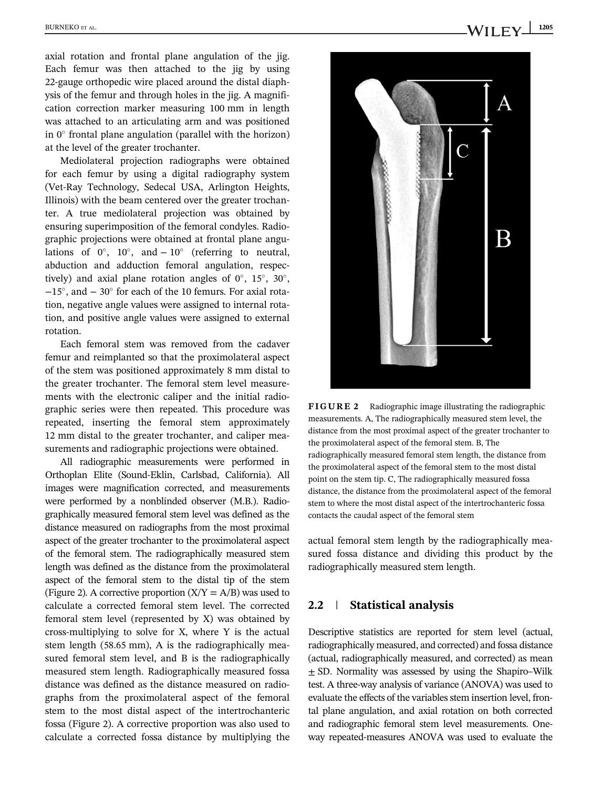axial rotation and frontal plane angulation of the jig. Each femur was then attached to the jig by using 22-gauge orthopedic wire placed around the distal diaphysis of the femur and through holes in the jig. A magnification correction marker measuring 100 mm in length was attached to an articulating arm and was positioned in  $0^\circ$  frontal plane angulation (parallel with the horizon) at the level of the greater trochanter.

Mediolateral projection radiographs were obtained for each femur by using a digital radiography system (Vet-Ray Technology, Sedecal USA, Arlington Heights, Illinois) with the beam centered over the greater trochanter. A true mediolateral projection was obtained by ensuring superimposition of the femoral condyles. Radiographic projections were obtained at frontal plane angulations of  $0^\circ$ ,  $10^\circ$ , and  $-10^\circ$  (referring to neutral, abduction and adduction femoral angulation, respectively) and axial plane rotation angles of  $0^\circ$ ,  $15^\circ$ ,  $30^\circ$ ,  $-15^\circ$ , and  $-30^\circ$  for each of the 10 femurs. For axial rotation, negative angle values were assigned to internal rotation, and positive angle values were assigned to external rotation.

Each femoral stem was removed from the cadaver femur and reimplanted so that the proximolateral aspect of the stem was positioned approximately 8 mm distal to the greater trochanter. The femoral stem level measurements with the electronic caliper and the initial radiographic series were then repeated. This procedure was repeated, inserting the femoral stem approximately 12 mm distal to the greater trochanter, and caliper measurements and radiographic projections were obtained.

All radiographic measurements were performed in Orthoplan Elite (Sound-Eklin, Carlsbad, California). All images were magnification corrected, and measurements were performed by a nonblinded observer (M.B.). Radiographically measured femoral stem level was defined as the distance measured on radiographs from the most proximal aspect of the greater trochanter to the proximolateral aspect of the femoral stem. The radiographically measured stem length was defined as the distance from the proximolateral aspect of the femoral stem to the distal tip of the stem (Figure 2). A corrective proportion  $(X/Y = A/B)$  was used to calculate a corrected femoral stem level. The corrected femoral stem level (represented by X) was obtained by cross-multiplying to solve for X, where Y is the actual stem length (58.65 mm), A is the radiographically measured femoral stem level, and B is the radiographically measured stem length. Radiographically measured fossa distance was defined as the distance measured on radiographs from the proximolateral aspect of the femoral stem to the most distal aspect of the intertrochanteric fossa (Figure 2). A corrective proportion was also used to calculate a corrected fossa distance by multiplying the



FIGURE 2 Radiographic image illustrating the radiographic measurements. A, The radiographically measured stem level, the distance from the most proximal aspect of the greater trochanter to the proximolateral aspect of the femoral stem. B, The radiographically measured femoral stem length, the distance from the proximolateral aspect of the femoral stem to the most distal point on the stem tip. C, The radiographically measured fossa distance, the distance from the proximolateral aspect of the femoral stem to where the most distal aspect of the intertrochanteric fossa contacts the caudal aspect of the femoral stem

actual femoral stem length by the radiographically measured fossa distance and dividing this product by the radiographically measured stem length.

### 2.2 | Statistical analysis

Descriptive statistics are reported for stem level (actual, radiographically measured, and corrected) and fossa distance (actual, radiographically measured, and corrected) as mean ± SD. Normality was assessed by using the Shapiro–Wilk test. A three-way analysis of variance (ANOVA) was used to evaluate the effects of the variables stem insertion level, frontal plane angulation, and axial rotation on both corrected and radiographic femoral stem level measurements. Oneway repeated-measures ANOVA was used to evaluate the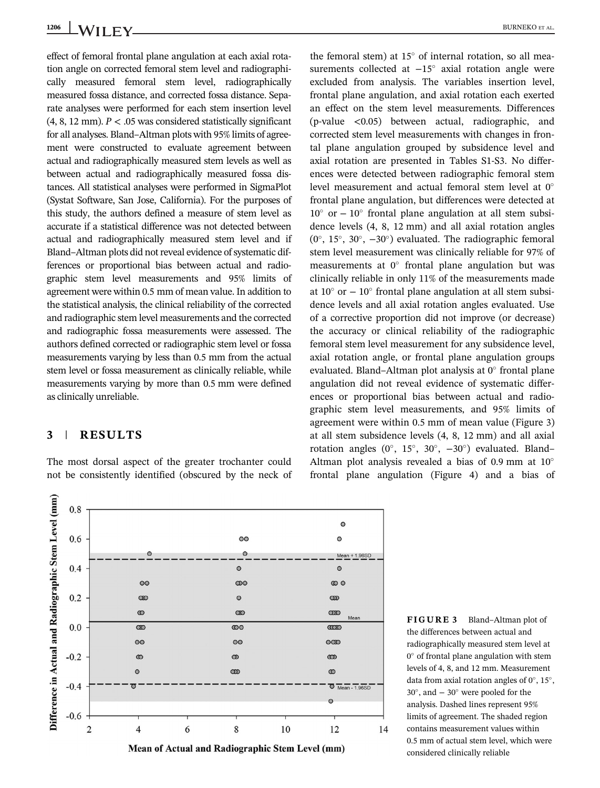effect of femoral frontal plane angulation at each axial rotation angle on corrected femoral stem level and radiographically measured femoral stem level, radiographically measured fossa distance, and corrected fossa distance. Separate analyses were performed for each stem insertion level  $(4, 8, 12 \text{ mm})$ .  $P < .05$  was considered statistically significant for all analyses. Bland–Altman plots with 95% limits of agreement were constructed to evaluate agreement between actual and radiographically measured stem levels as well as between actual and radiographically measured fossa distances. All statistical analyses were performed in SigmaPlot (Systat Software, San Jose, California). For the purposes of this study, the authors defined a measure of stem level as accurate if a statistical difference was not detected between actual and radiographically measured stem level and if Bland–Altman plots did not reveal evidence of systematic differences or proportional bias between actual and radiographic stem level measurements and 95% limits of agreement were within 0.5 mm of mean value. In addition to the statistical analysis, the clinical reliability of the corrected and radiographic stem level measurements and the corrected and radiographic fossa measurements were assessed. The authors defined corrected or radiographic stem level or fossa measurements varying by less than 0.5 mm from the actual stem level or fossa measurement as clinically reliable, while measurements varying by more than 0.5 mm were defined as clinically unreliable.

## 3 | RESULTS

The most dorsal aspect of the greater trochanter could not be consistently identified (obscured by the neck of

1206 BURNEKO ET AL.

the femoral stem) at  $15^{\circ}$  of internal rotation, so all measurements collected at  $-15^\circ$  axial rotation angle were excluded from analysis. The variables insertion level, frontal plane angulation, and axial rotation each exerted an effect on the stem level measurements. Differences (p-value <0.05) between actual, radiographic, and corrected stem level measurements with changes in frontal plane angulation grouped by subsidence level and axial rotation are presented in Tables S1-S3. No differences were detected between radiographic femoral stem level measurement and actual femoral stem level at  $0^\circ$ frontal plane angulation, but differences were detected at  $10^{\circ}$  or  $-10^{\circ}$  frontal plane angulation at all stem subsidence levels (4, 8, 12 mm) and all axial rotation angles  $(0^{\circ}, 15^{\circ}, 30^{\circ}, -30^{\circ})$  evaluated. The radiographic femoral stem level measurement was clinically reliable for 97% of measurements at  $0^{\circ}$  frontal plane angulation but was clinically reliable in only 11% of the measurements made at  $10^{\circ}$  or  $-10^{\circ}$  frontal plane angulation at all stem subsidence levels and all axial rotation angles evaluated. Use of a corrective proportion did not improve (or decrease) the accuracy or clinical reliability of the radiographic femoral stem level measurement for any subsidence level, axial rotation angle, or frontal plane angulation groups evaluated. Bland–Altman plot analysis at  $0^\circ$  frontal plane angulation did not reveal evidence of systematic differences or proportional bias between actual and radiographic stem level measurements, and 95% limits of agreement were within 0.5 mm of mean value (Figure 3) at all stem subsidence levels (4, 8, 12 mm) and all axial rotation angles ( $0^\circ$ , 15°, 30°,  $-30^\circ$ ) evaluated. Bland– Altman plot analysis revealed a bias of 0.9 mm at  $10^{\circ}$ frontal plane angulation (Figure 4) and a bias of



FIGURE 3 Bland–Altman plot of the differences between actual and radiographically measured stem level at  $0^{\circ}$  of frontal plane angulation with stem levels of 4, 8, and 12 mm. Measurement data from axial rotation angles of  $0^\circ$ , 15°,  $30^\circ$ , and  $-30^\circ$  were pooled for the analysis. Dashed lines represent 95% limits of agreement. The shaded region contains measurement values within 0.5 mm of actual stem level, which were considered clinically reliable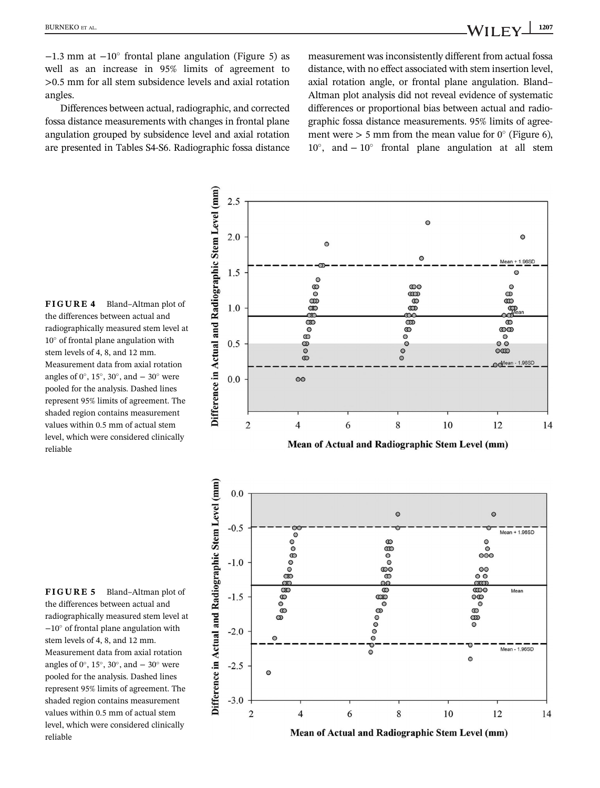$\circ$ 

 $-1.3$  mm at  $-10^{\circ}$  frontal plane angulation (Figure 5) as well as an increase in 95% limits of agreement to >0.5 mm for all stem subsidence levels and axial rotation angles.

Differences between actual, radiographic, and corrected fossa distance measurements with changes in frontal plane angulation grouped by subsidence level and axial rotation are presented in Tables S4-S6. Radiographic fossa distance

 $2.5$ 

2.0

 $\circ$ 

measurement was inconsistently different from actual fossa distance, with no effect associated with stem insertion level, axial rotation angle, or frontal plane angulation. Bland– Altman plot analysis did not reveal evidence of systematic differences or proportional bias between actual and radiographic fossa distance measurements. 95% limits of agreement were  $> 5$  mm from the mean value for 0 $\degree$  (Figure 6),  $10^{\circ}$ , and  $-10^{\circ}$  frontal plane angulation at all stem

 $\Omega$ 

FIGURE 4 Bland–Altman plot of the differences between actual and radiographically measured stem level at  $10^{\circ}$  of frontal plane angulation with stem levels of 4, 8, and 12 mm. Measurement data from axial rotation angles of  $0^\circ$ , 15°, 30°, and  $-30^\circ$  were pooled for the analysis. Dashed lines represent 95% limits of agreement. The shaded region contains measurement values within 0.5 mm of actual stem level, which were considered clinically reliable



FIGURE 5 Bland–Altman plot of the differences between actual and radiographically measured stem level at −10! of frontal plane angulation with stem levels of 4, 8, and 12 mm. Measurement data from axial rotation angles of  $0^\circ$ , 15°, 30°, and  $-30^\circ$  were pooled for the analysis. Dashed lines represent 95% limits of agreement. The shaded region contains measurement values within 0.5 mm of actual stem level, which were considered clinically reliable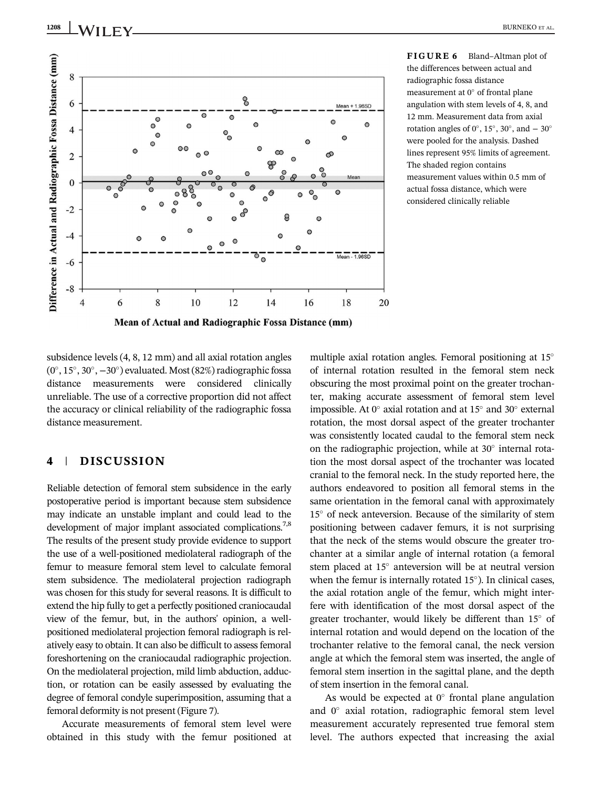

FIGURE 6 Bland–Altman plot of the differences between actual and radiographic fossa distance measurement at  $0^\circ$  of frontal plane angulation with stem levels of 4, 8, and 12 mm. Measurement data from axial rotation angles of  $0^\circ$ , 15°, 30°, and  $-30^\circ$ were pooled for the analysis. Dashed lines represent 95% limits of agreement. The shaded region contains measurement values within 0.5 mm of actual fossa distance, which were considered clinically reliable

subsidence levels (4, 8, 12 mm) and all axial rotation angles  $(0^\circ, 15^\circ, 30^\circ, -30^\circ)$  evaluated. Most (82%) radiographic fossa distance measurements were considered clinically unreliable. The use of a corrective proportion did not affect the accuracy or clinical reliability of the radiographic fossa distance measurement.

## 4 | DISCUSSION

Reliable detection of femoral stem subsidence in the early postoperative period is important because stem subsidence may indicate an unstable implant and could lead to the development of major implant associated complications.<sup>7,8</sup> The results of the present study provide evidence to support the use of a well-positioned mediolateral radiograph of the femur to measure femoral stem level to calculate femoral stem subsidence. The mediolateral projection radiograph was chosen for this study for several reasons. It is difficult to extend the hip fully to get a perfectly positioned craniocaudal view of the femur, but, in the authors' opinion, a wellpositioned mediolateral projection femoral radiograph is relatively easy to obtain. It can also be difficult to assess femoral foreshortening on the craniocaudal radiographic projection. On the mediolateral projection, mild limb abduction, adduction, or rotation can be easily assessed by evaluating the degree of femoral condyle superimposition, assuming that a femoral deformity is not present (Figure 7).

Accurate measurements of femoral stem level were obtained in this study with the femur positioned at multiple axial rotation angles. Femoral positioning at  $15^\circ$ of internal rotation resulted in the femoral stem neck obscuring the most proximal point on the greater trochanter, making accurate assessment of femoral stem level impossible. At  $0^{\circ}$  axial rotation and at  $15^{\circ}$  and  $30^{\circ}$  external rotation, the most dorsal aspect of the greater trochanter was consistently located caudal to the femoral stem neck on the radiographic projection, while at  $30^\circ$  internal rotation the most dorsal aspect of the trochanter was located cranial to the femoral neck. In the study reported here, the authors endeavored to position all femoral stems in the same orientation in the femoral canal with approximately  $15^{\circ}$  of neck anteversion. Because of the similarity of stem positioning between cadaver femurs, it is not surprising that the neck of the stems would obscure the greater trochanter at a similar angle of internal rotation (a femoral stem placed at  $15^\circ$  anteversion will be at neutral version when the femur is internally rotated  $15^{\circ}$ ). In clinical cases, the axial rotation angle of the femur, which might interfere with identification of the most dorsal aspect of the greater trochanter, would likely be different than  $15^{\circ}$  of internal rotation and would depend on the location of the trochanter relative to the femoral canal, the neck version angle at which the femoral stem was inserted, the angle of femoral stem insertion in the sagittal plane, and the depth of stem insertion in the femoral canal.

As would be expected at  $0^{\circ}$  frontal plane angulation and  $0^\circ$  axial rotation, radiographic femoral stem level measurement accurately represented true femoral stem level. The authors expected that increasing the axial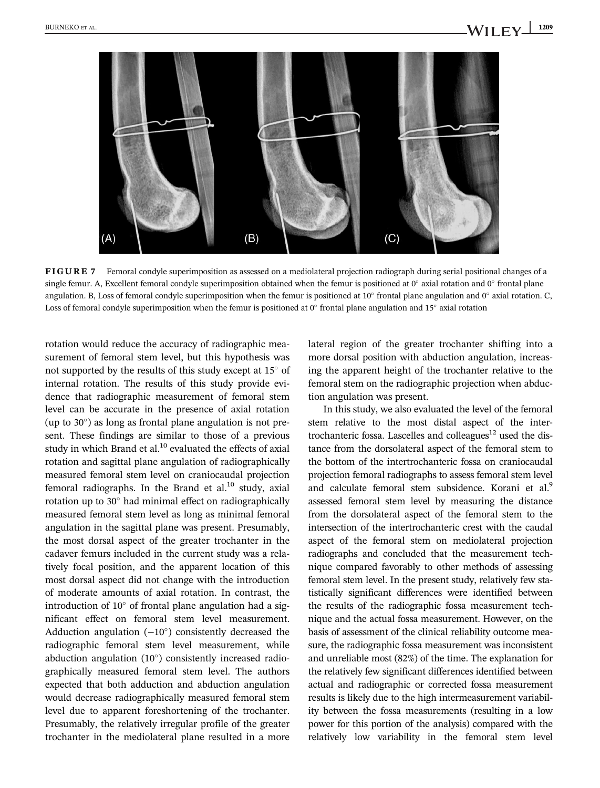

FIGURE 7 Femoral condyle superimposition as assessed on a mediolateral projection radiograph during serial positional changes of a single femur. A, Excellent femoral condyle superimposition obtained when the femur is positioned at  $0^\circ$  axial rotation and  $0^\circ$  frontal plane angulation. B, Loss of femoral condyle superimposition when the femur is positioned at 10 $^{\circ}$  frontal plane angulation and 0 $^{\circ}$  axial rotation. C, Loss of femoral condyle superimposition when the femur is positioned at  $0^\circ$  frontal plane angulation and 15° axial rotation

rotation would reduce the accuracy of radiographic measurement of femoral stem level, but this hypothesis was not supported by the results of this study except at  $15^{\circ}$  of internal rotation. The results of this study provide evidence that radiographic measurement of femoral stem level can be accurate in the presence of axial rotation (up to  $30^{\circ}$ ) as long as frontal plane angulation is not present. These findings are similar to those of a previous study in which Brand et al. $^{10}$  evaluated the effects of axial rotation and sagittal plane angulation of radiographically measured femoral stem level on craniocaudal projection femoral radiographs. In the Brand et  $al^{10}$  study, axial rotation up to  $30^\circ$  had minimal effect on radiographically measured femoral stem level as long as minimal femoral angulation in the sagittal plane was present. Presumably, the most dorsal aspect of the greater trochanter in the cadaver femurs included in the current study was a relatively focal position, and the apparent location of this most dorsal aspect did not change with the introduction of moderate amounts of axial rotation. In contrast, the introduction of  $10^{\circ}$  of frontal plane angulation had a significant effect on femoral stem level measurement. Adduction angulation  $(-10^{\circ})$  consistently decreased the radiographic femoral stem level measurement, while abduction angulation  $(10^{\circ})$  consistently increased radiographically measured femoral stem level. The authors expected that both adduction and abduction angulation would decrease radiographically measured femoral stem level due to apparent foreshortening of the trochanter. Presumably, the relatively irregular profile of the greater trochanter in the mediolateral plane resulted in a more

lateral region of the greater trochanter shifting into a more dorsal position with abduction angulation, increasing the apparent height of the trochanter relative to the femoral stem on the radiographic projection when abduction angulation was present.

In this study, we also evaluated the level of the femoral stem relative to the most distal aspect of the intertrochanteric fossa. Lascelles and colleagues $12$  used the distance from the dorsolateral aspect of the femoral stem to the bottom of the intertrochanteric fossa on craniocaudal projection femoral radiographs to assess femoral stem level and calculate femoral stem subsidence. Korani et al.<sup>9</sup> assessed femoral stem level by measuring the distance from the dorsolateral aspect of the femoral stem to the intersection of the intertrochanteric crest with the caudal aspect of the femoral stem on mediolateral projection radiographs and concluded that the measurement technique compared favorably to other methods of assessing femoral stem level. In the present study, relatively few statistically significant differences were identified between the results of the radiographic fossa measurement technique and the actual fossa measurement. However, on the basis of assessment of the clinical reliability outcome measure, the radiographic fossa measurement was inconsistent and unreliable most (82%) of the time. The explanation for the relatively few significant differences identified between actual and radiographic or corrected fossa measurement results is likely due to the high intermeasurement variability between the fossa measurements (resulting in a low power for this portion of the analysis) compared with the relatively low variability in the femoral stem level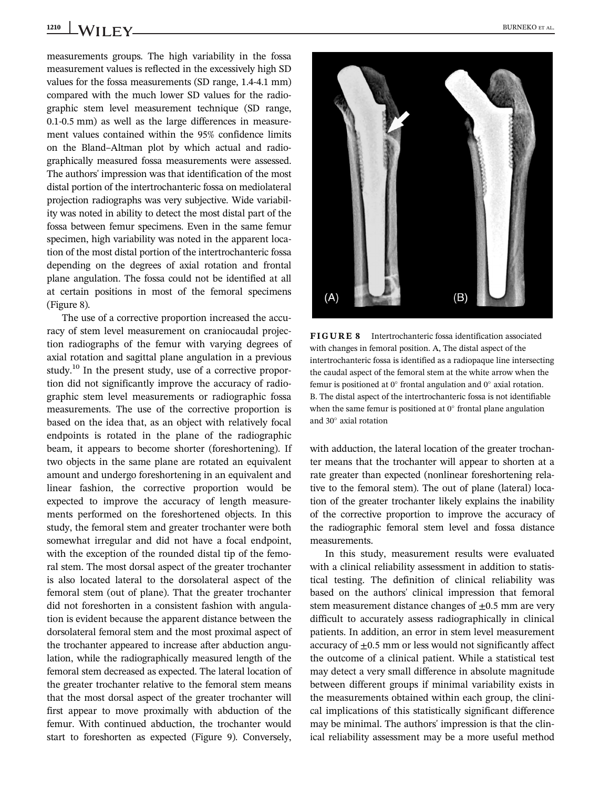1210 WII FY BURNEKO ET AL.

measurements groups. The high variability in the fossa measurement values is reflected in the excessively high SD values for the fossa measurements (SD range, 1.4-4.1 mm) compared with the much lower SD values for the radiographic stem level measurement technique (SD range, 0.1-0.5 mm) as well as the large differences in measurement values contained within the 95% confidence limits on the Bland–Altman plot by which actual and radiographically measured fossa measurements were assessed. The authors' impression was that identification of the most distal portion of the intertrochanteric fossa on mediolateral projection radiographs was very subjective. Wide variability was noted in ability to detect the most distal part of the fossa between femur specimens. Even in the same femur specimen, high variability was noted in the apparent location of the most distal portion of the intertrochanteric fossa depending on the degrees of axial rotation and frontal plane angulation. The fossa could not be identified at all at certain positions in most of the femoral specimens (Figure 8).

The use of a corrective proportion increased the accuracy of stem level measurement on craniocaudal projection radiographs of the femur with varying degrees of axial rotation and sagittal plane angulation in a previous study.<sup>10</sup> In the present study, use of a corrective proportion did not significantly improve the accuracy of radiographic stem level measurements or radiographic fossa measurements. The use of the corrective proportion is based on the idea that, as an object with relatively focal endpoints is rotated in the plane of the radiographic beam, it appears to become shorter (foreshortening). If two objects in the same plane are rotated an equivalent amount and undergo foreshortening in an equivalent and linear fashion, the corrective proportion would be expected to improve the accuracy of length measurements performed on the foreshortened objects. In this study, the femoral stem and greater trochanter were both somewhat irregular and did not have a focal endpoint, with the exception of the rounded distal tip of the femoral stem. The most dorsal aspect of the greater trochanter is also located lateral to the dorsolateral aspect of the femoral stem (out of plane). That the greater trochanter did not foreshorten in a consistent fashion with angulation is evident because the apparent distance between the dorsolateral femoral stem and the most proximal aspect of the trochanter appeared to increase after abduction angulation, while the radiographically measured length of the femoral stem decreased as expected. The lateral location of the greater trochanter relative to the femoral stem means that the most dorsal aspect of the greater trochanter will first appear to move proximally with abduction of the femur. With continued abduction, the trochanter would start to foreshorten as expected (Figure 9). Conversely,



FIGURE 8 Intertrochanteric fossa identification associated with changes in femoral position. A, The distal aspect of the intertrochanteric fossa is identified as a radiopaque line intersecting the caudal aspect of the femoral stem at the white arrow when the femur is positioned at  $0^{\circ}$  frontal angulation and  $0^{\circ}$  axial rotation. B. The distal aspect of the intertrochanteric fossa is not identifiable when the same femur is positioned at  $0^\circ$  frontal plane angulation and  $30^\circ$  axial rotation

with adduction, the lateral location of the greater trochanter means that the trochanter will appear to shorten at a rate greater than expected (nonlinear foreshortening relative to the femoral stem). The out of plane (lateral) location of the greater trochanter likely explains the inability of the corrective proportion to improve the accuracy of the radiographic femoral stem level and fossa distance measurements.

In this study, measurement results were evaluated with a clinical reliability assessment in addition to statistical testing. The definition of clinical reliability was based on the authors' clinical impression that femoral stem measurement distance changes of  $\pm 0.5$  mm are very difficult to accurately assess radiographically in clinical patients. In addition, an error in stem level measurement accuracy of  $\pm$ 0.5 mm or less would not significantly affect the outcome of a clinical patient. While a statistical test may detect a very small difference in absolute magnitude between different groups if minimal variability exists in the measurements obtained within each group, the clinical implications of this statistically significant difference may be minimal. The authors' impression is that the clinical reliability assessment may be a more useful method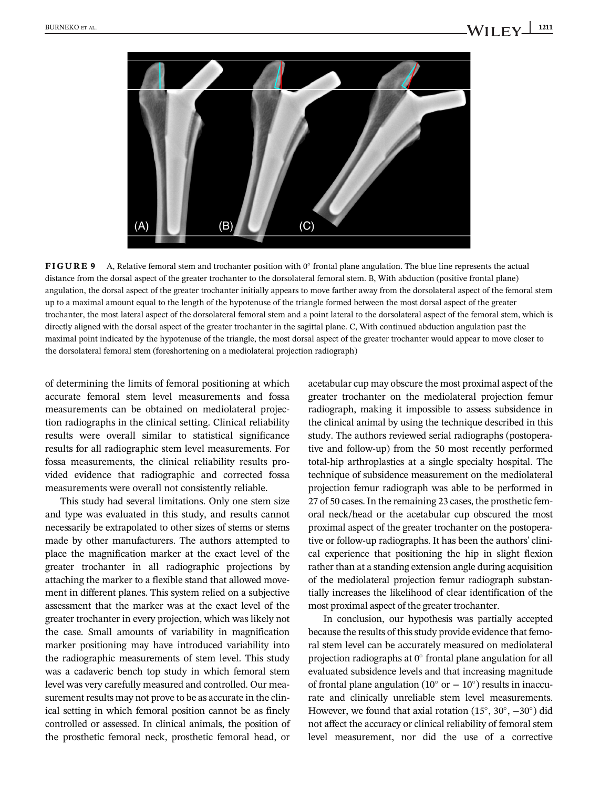

FIGURE 9 A, Relative femoral stem and trochanter position with  $0^\circ$  frontal plane angulation. The blue line represents the actual distance from the dorsal aspect of the greater trochanter to the dorsolateral femoral stem. B, With abduction (positive frontal plane) angulation, the dorsal aspect of the greater trochanter initially appears to move farther away from the dorsolateral aspect of the femoral stem up to a maximal amount equal to the length of the hypotenuse of the triangle formed between the most dorsal aspect of the greater trochanter, the most lateral aspect of the dorsolateral femoral stem and a point lateral to the dorsolateral aspect of the femoral stem, which is directly aligned with the dorsal aspect of the greater trochanter in the sagittal plane. C, With continued abduction angulation past the maximal point indicated by the hypotenuse of the triangle, the most dorsal aspect of the greater trochanter would appear to move closer to the dorsolateral femoral stem (foreshortening on a mediolateral projection radiograph)

of determining the limits of femoral positioning at which accurate femoral stem level measurements and fossa measurements can be obtained on mediolateral projection radiographs in the clinical setting. Clinical reliability results were overall similar to statistical significance results for all radiographic stem level measurements. For fossa measurements, the clinical reliability results provided evidence that radiographic and corrected fossa measurements were overall not consistently reliable.

This study had several limitations. Only one stem size and type was evaluated in this study, and results cannot necessarily be extrapolated to other sizes of stems or stems made by other manufacturers. The authors attempted to place the magnification marker at the exact level of the greater trochanter in all radiographic projections by attaching the marker to a flexible stand that allowed movement in different planes. This system relied on a subjective assessment that the marker was at the exact level of the greater trochanter in every projection, which was likely not the case. Small amounts of variability in magnification marker positioning may have introduced variability into the radiographic measurements of stem level. This study was a cadaveric bench top study in which femoral stem level was very carefully measured and controlled. Our measurement results may not prove to be as accurate in the clinical setting in which femoral position cannot be as finely controlled or assessed. In clinical animals, the position of the prosthetic femoral neck, prosthetic femoral head, or

acetabular cup may obscure the most proximal aspect of the greater trochanter on the mediolateral projection femur radiograph, making it impossible to assess subsidence in the clinical animal by using the technique described in this study. The authors reviewed serial radiographs (postoperative and follow-up) from the 50 most recently performed total-hip arthroplasties at a single specialty hospital. The technique of subsidence measurement on the mediolateral projection femur radiograph was able to be performed in 27 of 50 cases. In the remaining 23 cases, the prosthetic femoral neck/head or the acetabular cup obscured the most proximal aspect of the greater trochanter on the postoperative or follow-up radiographs. It has been the authors' clinical experience that positioning the hip in slight flexion rather than at a standing extension angle during acquisition of the mediolateral projection femur radiograph substantially increases the likelihood of clear identification of the most proximal aspect of the greater trochanter.

In conclusion, our hypothesis was partially accepted because the results of this study provide evidence that femoral stem level can be accurately measured on mediolateral projection radiographs at  $0^\circ$  frontal plane angulation for all evaluated subsidence levels and that increasing magnitude of frontal plane angulation (10 $^{\circ}$  or  $-10^{\circ}$ ) results in inaccurate and clinically unreliable stem level measurements. However, we found that axial rotation  $(15^{\circ}, 30^{\circ}, -30^{\circ})$  did not affect the accuracy or clinical reliability of femoral stem level measurement, nor did the use of a corrective